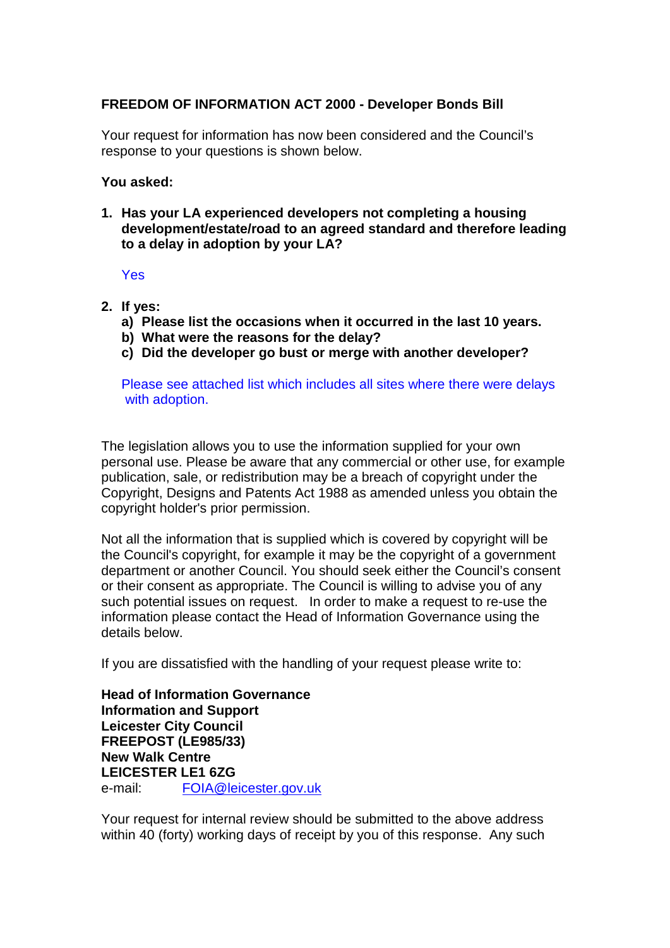## **FREEDOM OF INFORMATION ACT 2000 - Developer Bonds Bill**

Your request for information has now been considered and the Council's response to your questions is shown below.

## **You asked:**

**1. Has your LA experienced developers not completing a housing development/estate/road to an agreed standard and therefore leading to a delay in adoption by your LA?**

Yes

- **2. If yes:**
	- **a) Please list the occasions when it occurred in the last 10 years.**
	- **b) What were the reasons for the delay?**
	- **c) Did the developer go bust or merge with another developer?**

Please see attached list which includes all sites where there were delays with adoption.

The legislation allows you to use the information supplied for your own personal use. Please be aware that any commercial or other use, for example publication, sale, or redistribution may be a breach of copyright under the Copyright, Designs and Patents Act 1988 as amended unless you obtain the copyright holder's prior permission.

Not all the information that is supplied which is covered by copyright will be the Council's copyright, for example it may be the copyright of a government department or another Council. You should seek either the Council's consent or their consent as appropriate. The Council is willing to advise you of any such potential issues on request. In order to make a request to re-use the information please contact the Head of Information Governance using the details below.

If you are dissatisfied with the handling of your request please write to:

**Head of Information Governance Information and Support Leicester City Council FREEPOST (LE985/33) New Walk Centre LEICESTER LE1 6ZG**  e-mail: FOIA@leicester.gov.uk

Your request for internal review should be submitted to the above address within 40 (forty) working days of receipt by you of this response. Any such